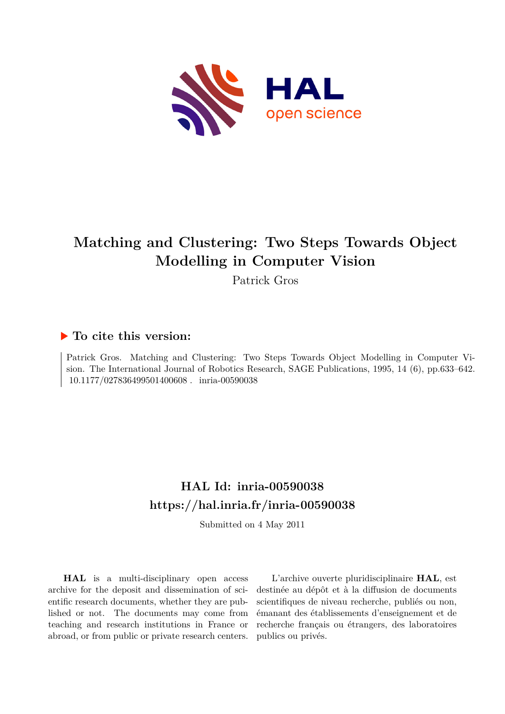

# **Matching and Clustering: Two Steps Towards Object Modelling in Computer Vision**

Patrick Gros

## **To cite this version:**

Patrick Gros. Matching and Clustering: Two Steps Towards Object Modelling in Computer Vision. The International Journal of Robotics Research, SAGE Publications, 1995, 14 (6), pp.633–642. 10.1177/027836499501400608. inria-00590038

## **HAL Id: inria-00590038 <https://hal.inria.fr/inria-00590038>**

Submitted on 4 May 2011

**HAL** is a multi-disciplinary open access archive for the deposit and dissemination of scientific research documents, whether they are published or not. The documents may come from teaching and research institutions in France or abroad, or from public or private research centers.

L'archive ouverte pluridisciplinaire **HAL**, est destinée au dépôt et à la diffusion de documents scientifiques de niveau recherche, publiés ou non, émanant des établissements d'enseignement et de recherche français ou étrangers, des laboratoires publics ou privés.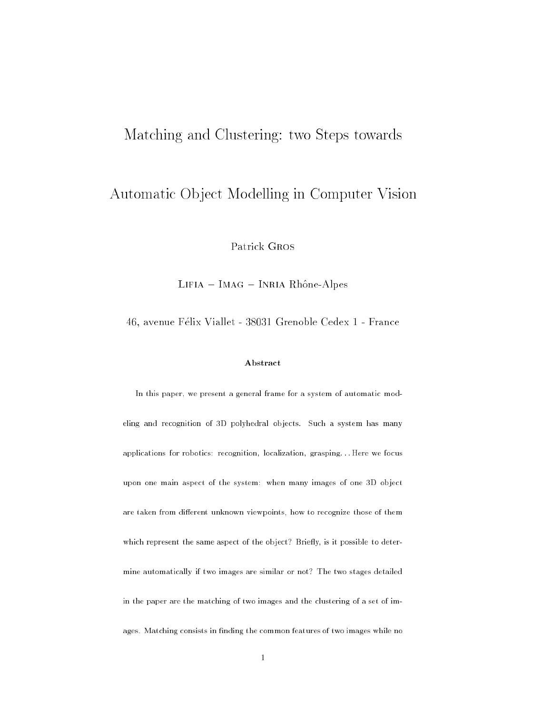## Matching and Clustering: two Steps towards

## Automatic Ob ject Modelling in Computer Vision

Patrick Gros

Lifia – Imag – Inria Rhône-Alpes

46, avenue Felix Viallet - 38031 Grenoble Cedex 1 - France

### Abstract

In this paper, we present a general frame for a system of automatic modeling and recognition of 3D polyhedral or and polyhedral objects. Such a system is many many many many many man applications for robotics: recognition, localization, grasping: : : Here we focus upon as as a personal many systems in the system many images of the system of one 3D objects. are taken from dierent unknown viewpoints, how to recognize those of them which represent the same aspect of the object? Brie
y, is it possible to determine automatically if two images are similar or not? The two stages detailed in the paper are the matching of two images and the clustering of a set of images. Matching consists in nding the common features of two images while no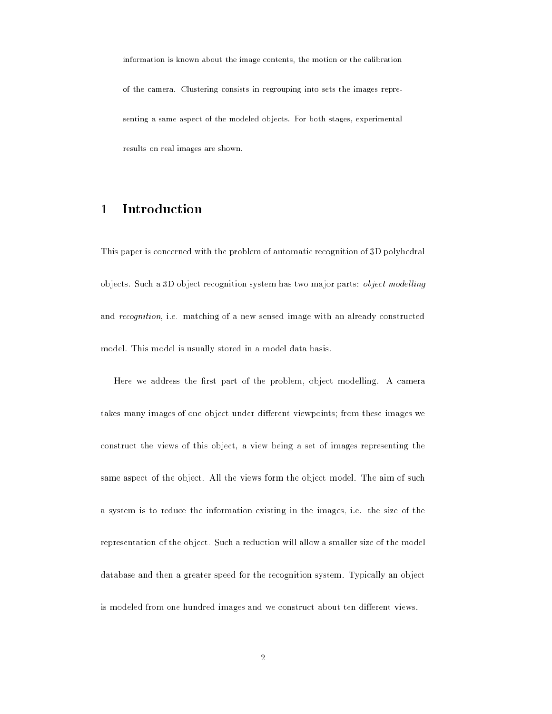information is known about the image contents, the motion or the calibration of the camera. Clustering consists in regrouping into sets the images representing a same aspect of the modeled objects. For both stages, experimental results on real images are shown.

### Introduction

This paper is concerned with the problem of automatic recognition of 3D polyhedral objects. Such a 3D object recognition system has two major parts: *object modelling* and *recognition*, i.e. matching of a new sensed image with an already constructed model. This model is usually stored in a model data basis.

Here we address the first part of the problem, object modelling. A camera takes many images of one object under different viewpoints; from these images we construct the views of this object, a view being a set of images representing the same aspect of the object. All the views form the object model. The aim of such a system is to reduce the information existing in the images, i.e. the size of the representation of the object. Such a reduction will allow a smaller size of the model database and then a greater speed for the recognition system. Typically an object is modeled from one hundred images and we construct about ten different views.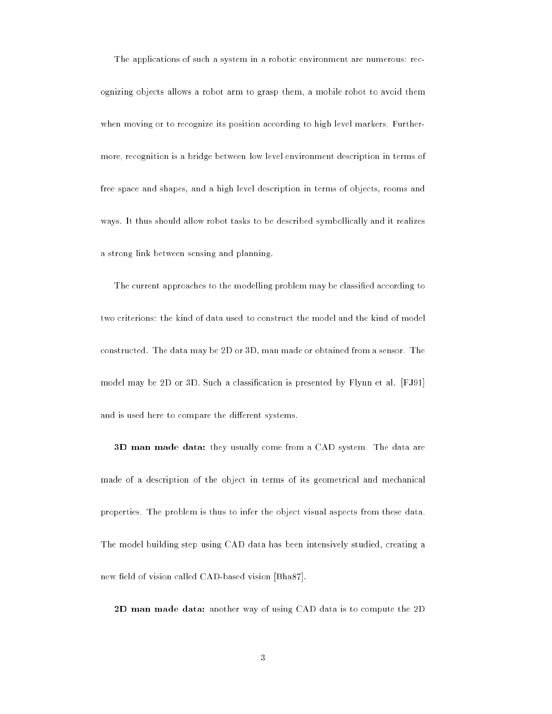The applications of such a system in a robotic environment are numerous: recognizing objects allows a robot arm to grasp them, a mobile robot to avoid them when moving or to recognize its position according to high level markers. Furthermore, recognition is a bridge between low level environment description in terms of free space and shapes, and a high level description in terms of objects, rooms and ways. It thus should allow robot tasks to be described symbollically and it realizes a strong link between sensing and planning.

The current approaches to the modelling problem may be classified according to two criterions: the kind of data used to construct the model and the kind of model constructed. The data may be 2D or 3D, man made or obtained from a sensor. The model may be 2D or 3D. Such a classication is presented by Flynn et al. [FJ91] and is used here to compare the different systems.

3D man made data: they usually come from a CAD system. The data are made of a description of the object in terms of its geometrical and mechanical properties. The problem is thus to infer the object visual aspects from these data. The model building step using CAD data has been intensively studied, creating a new field of vision called CAD-based vision [Bha87].

2D man made data: another way of using CAD data is to compute the 2D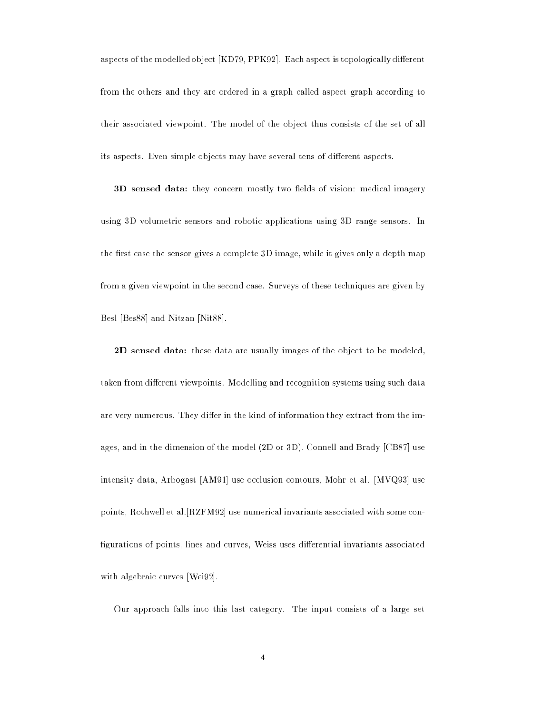aspects of the modelled object [KD79, PPK92]. Each aspect is topologically different from the others and they are ordered in a graph called aspect graph according to their associated viewpoint. The model of the object thus consists of the set of all its aspects. Even simple objects may have several tens of different aspects.

3D sensed data: they concern mostly two fields of vision: medical imagery using 3D volumetric sensors and robotic applications using 3D range sensors. In the first case the sensor gives a complete 3D image, while it gives only a depth map from a given viewpoint in the second case. Surveys of these techniques are given by Besl [Bes88] and Nitzan [Nit88].

2D sensed data: these data are usually images of the object to be modeled, taken from different viewpoints. Modelling and recognition systems using such data are very numerous. They differ in the kind of information they extract from the images, and in the dimension of the model (2D or 3D). Connell and Brady [CB87] use intensity data, Arbogast [AM91] use occlusion contours, Mohr et al. [MVQ93] use points, Rothwell et al.[RZFM92] use numerical invariants associated with some con figurations of points, lines and curves, Weiss uses differential invariants associated with algebraic curves [Wei92].

Our approach falls into this last category. The input consists of a large set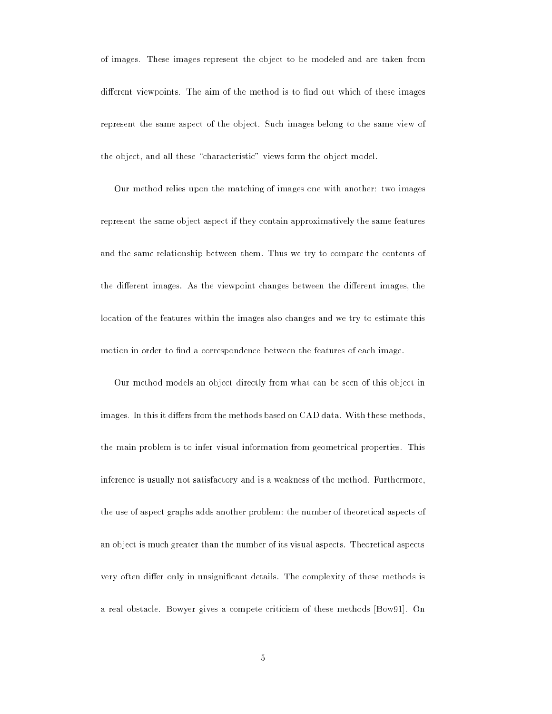of images. These images represent the object to be modeled and are taken from different viewpoints. The aim of the method is to find out which of these images represent the same aspect of the object. Such images belong to the same view of the object, and all these "characteristic" views form the object model.

Our method relies upon the matching of images one with another: two images represent the same object aspect if they contain approximatively the same features and the same relationship between them. Thus we try to compare the contents of the different images. As the viewpoint changes between the different images, the location of the features within the images also changes and we try to estimate this motion in order to find a correspondence between the features of each image.

Our method models an object directly from what can be seen of this object in images. In this it differs from the methods based on CAD data. With these methods, the main problem is to infer visual information from geometrical properties. This inference is usually not satisfactory and is a weakness of the method. Furthermore, the use of aspect graphs adds another problem: the number of theoretical aspects of an object is much greater than the number of its visual aspects. Theoretical aspects very often differ only in unsignificant details. The complexity of these methods is a real obstacle. Bowyer gives a compete criticism of these methods [Bow91]. On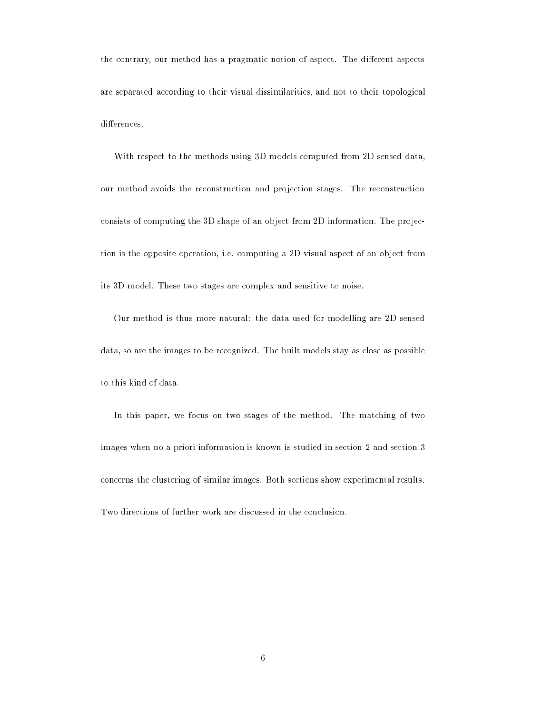the contrary, our method has a pragmatic notion of aspect. The different aspects are separated according to their visual dissimilarities, and not to their topological differences.

With respect to the methods using 3D models computed from 2D sensed data, our method avoids the reconstruction and projection stages. The reconstruction consists of computing the 3D shape of an object from 2D information. The projection is the opposite operation, i.e. computing a 2D visual aspect of an object from its 3D model. These two stages are complex and sensitive to noise.

Our method is thus more natural: the data used for modelling are 2D sensed data, so are the images to be recognized. The built models stay as close as possible to this kind of data.

In this paper, we focus on two stages of the method. The matching of two images when no a priori information is known is studied in section 2 and section 3 concerns the clustering of similar images. Both sections show experimental results. Two directions of further work are discussed in the conclusion.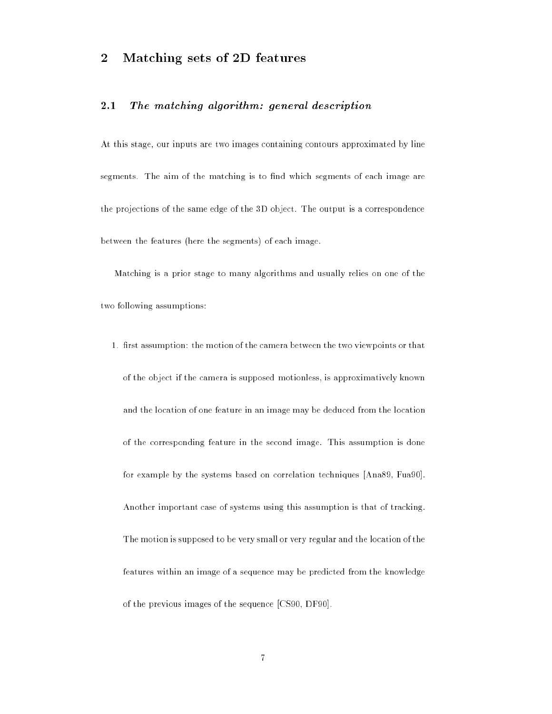### 2Matching sets of 2D features

#### 2.1The matching algorithm: general description

At this stage, our inputs are two images containing contours approximated by line segments. The aim of the matching is to find which segments of each image are the projections of the same edge of the 3D object. The output is a correspondence between the features (here the segments) of each image.

Matching is a prior stage to many algorithms and usually relies on one of the two following assumptions:

1. first assumption: the motion of the camera between the two viewpoints or that of the object if the camera is supposed motionless, is approximatively known and the location of one feature in an image may be deduced from the location of the corresponding feature in the second image. This assumption is done for example by the systems based on correlation techniques [Ana89, Fua90]. Another important case of systems using this assumption is that of tracking. The motion is supposed to be very small or very regular and the location of the features within an image of a sequence may be predicted from the knowledge of the previous images of the sequence [CS90, DF90].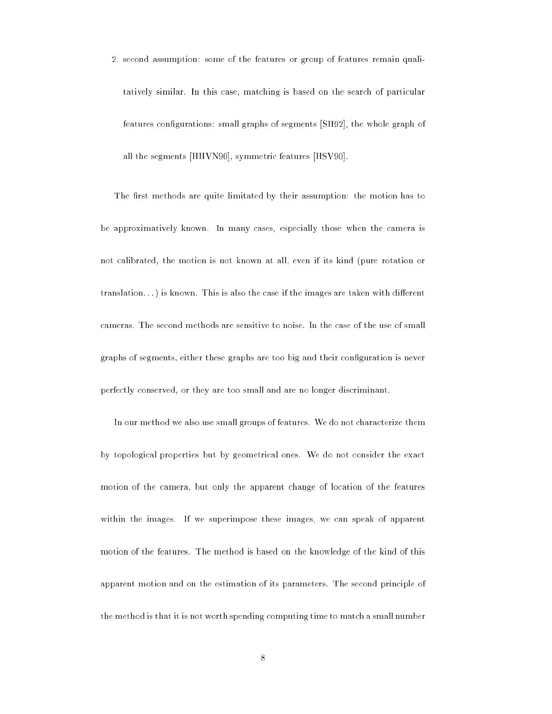2. second assumption: some of the features or group of features remain qualitatively similar. In this case, matching is based on the search of particular features configurations: small graphs of segments [SH92], the whole graph of all the segments [HHVN90], symmetric features [HSV90].

The first methods are quite limitated by their assumption: the motion has to be approximatively known. In many cases, especially those when the camera is not calibrated, the motion is not known at all, even if its kind (pure rotation or  $translation...$ ) is known. This is also the case if the images are taken with different cameras. The second methods are sensitive to noise. In the case of the use of small graphs of segments, either these graphs are too big and their conguration is never perfectly conserved, or they are too small and are no longer discriminant.

In our method we also use small groups of features. We do not characterize them by topological properties but by geometrical ones. We do not consider the exact motion of the camera, but only the apparent change of location of the features within the images. If we superimpose these images, we can speak of apparent motion of the features. The method is based on the knowledge of the kind of this apparent motion and on the estimation of its parameters. The second principle of the method is that it is not worth spending computing time to match a small number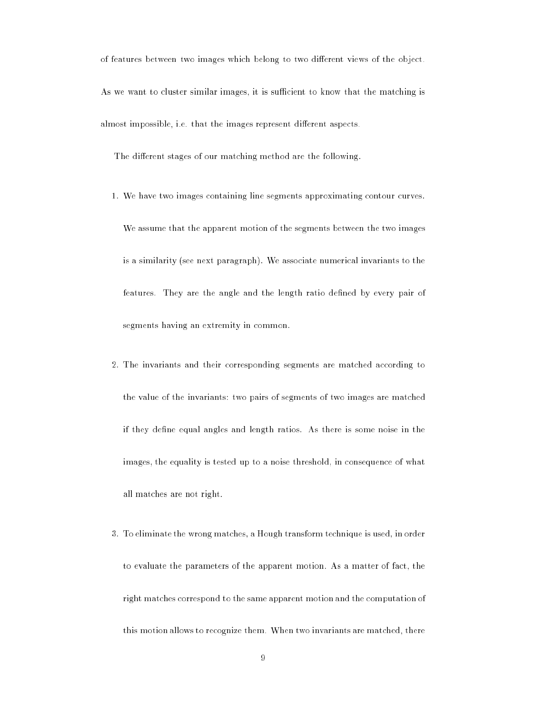of features between two images which belong to two different views of the object. As we want to cluster similar images, it is sufficient to know that the matching is almost impossible, i.e. that the images represent different aspects.

The different stages of our matching method are the following.

1. We have two images containing line segments approximating contour curves.

We assume that the apparent motion of the segments between the two images is a similarity (see next paragraph). We associate numerical invariants to the features. They are the angle and the length ratio defined by every pair of segments having an extremity in common.

- 2. The invariants and their corresponding segments are matched according to the value of the invariants: two pairs of segments of two images are matched if they define equal angles and length ratios. As there is some noise in the images, the equality is tested up to a noise threshold, in consequence of what all matches are not right.
- 3. To eliminate the wrong matches, a Hough transform technique is used, in order to evaluate the parameters of the apparent motion. As a matter of fact, the right matches correspond to the same apparent motion and the computation of this motion allows to recognize them. When two invariants are matched, there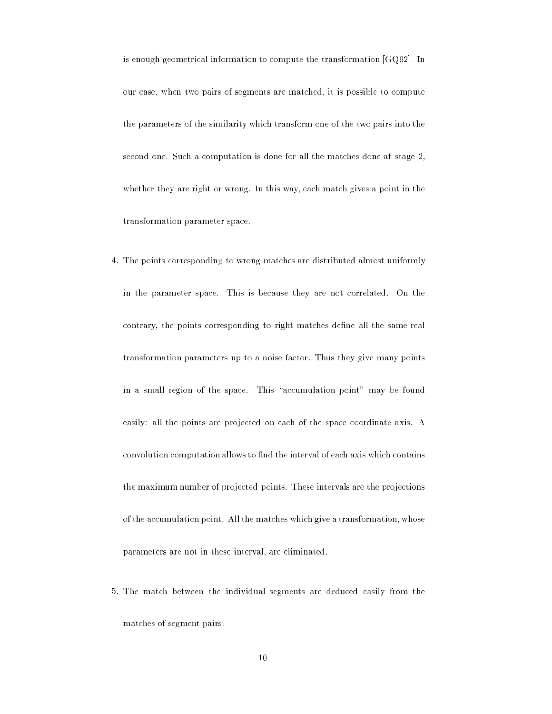is enough geometrical information to compute the transformation [GQ92]. In our case, when two pairs of segments are matched, it is possible to compute the parameters of the similarity which transform one of the two pairs into the second one. Such a computation is done for all the matches done at stage 2, whether they are right or wrong. In this way, each match gives a point in the transformation parameter space.

- 4. The points corresponding to wrong matches are distributed almost uniformly in the parameter space. This is because they are not correlated. On the contrary, the points corresponding to right matches define all the same real transformation parameters up to a noise factor. Thus they give many points in a small region of the space. This "accumulation point" may be found easily: all the points are projected on each of the space coordinate axis. A convolution computation allows to find the interval of each axis which contains the maximum number of projected points. These intervals are the projections of the accumulation point. All the matches which give a transformation, whose parameters are not in these interval, are eliminated.
- 5. The match between the individual segments are deduced easily from the matches of segment pairs.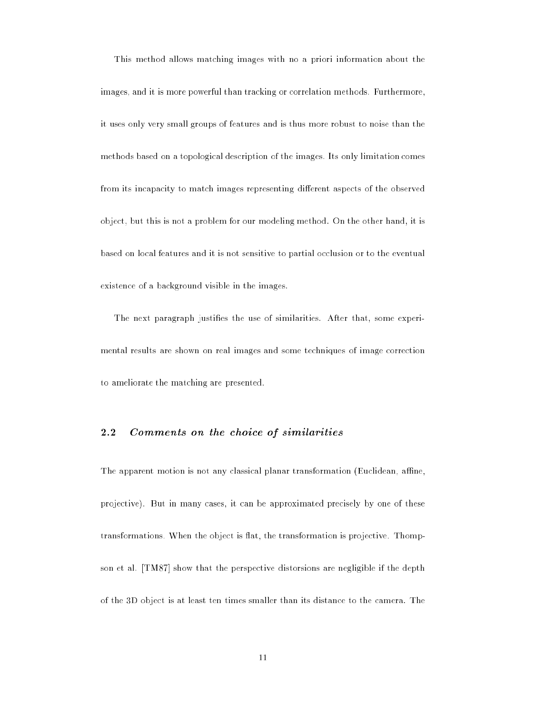This method allows matching images with no a priori information about the images, and it is more powerful than tracking or correlation methods. Furthermore, it uses only very small groups of features and is thus more robust to noise than the methods based on a topological description of the images. Its only limitation comes from its incapacity to match images representing different aspects of the observed object, but this is not a problem for our modeling method. On the other hand, it is based on local features and it is not sensitive to partial occlusion or to the eventual existence of a background visible in the images.

The next paragraph justifies the use of similarities. After that, some experimental results are shown on real images and some techniques of image correction to ameliorate the matching are presented.

#### 2.2Comments on the choice of similarities

The apparent motion is not any classical planar transformation (Euclidean, affine, projective). But in many cases, it can be approximated precisely by one of these transformations. When the object is flat, the transformation is projective. Thompson et al. [TM87] show that the perspective distorsions are negligible if the depth of the 3D object is at least ten times smaller than its distance to the camera. The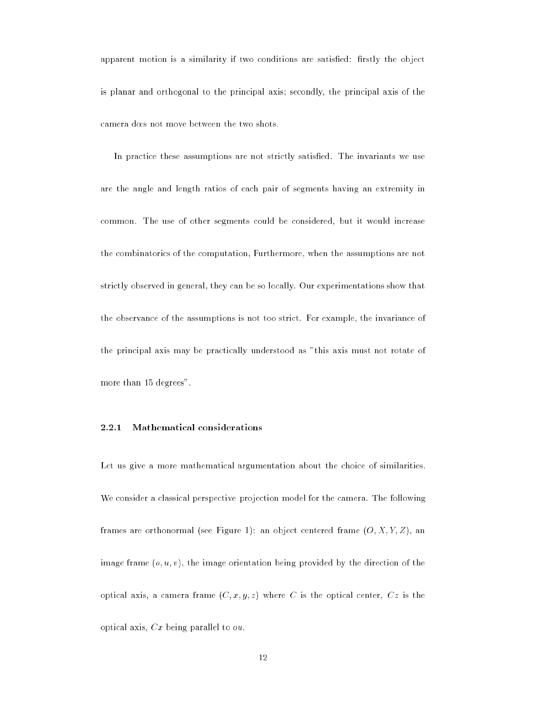apparent motion is a similarity if two conditions are satisfied: firstly the object is planar and orthogonal to the principal axis; secondly, the principal axis of the camera does not move between the two shots.

In practice these assumptions are not strictly satisfied. The invariants we use are the angle and length ratios of each pair of segments having an extremity in common. The use of other segments could be considered, but it would increase the combinatorics of the computation, Furthermore, when the assumptions are not strictly observed in general, they can be so locally. Our experimentations show that the observance of the assumptions is not too strict. For example, the invariance of the principal axis may be practically understood as "this axis must not rotate of more than 15 degrees".

### 2.2.1 Mathematical considerations

Let us give a more mathematical argumentation about the choice of similarities. We consider a classical perspective projection model for the camera. The following frames are orthonormal (see Figure 1): an object centered frame  $(0, X, Y, Z)$ , an image frame  $(o, u, v)$ , the image orientation being provided by the direction of the optical axis, a camera frame  $(C, x, y, z)$  where C is the optical center,  $Cz$  is the optical axis,  $Cx$  being parallel to  $ou$ .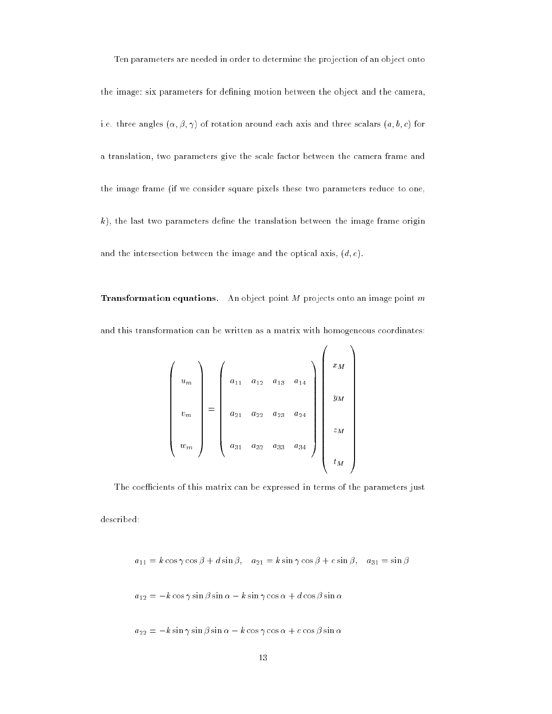Ten parameters are needed in order to determine the projection of an object onto the image: six parameters for defining motion between the object and the camera, i.e. three angles  $(\alpha, \beta, \gamma)$  of rotation around each axis and three scalars  $(a, b, c)$  for a translation, two parameters give the scale factor between the camera frame and the image frame (if we consider square pixels these two parameters reduce to one,  $k$ ), the last two parameters define the translation between the image frame origin and the intersection between the image and the optical axis,  $(d, e)$ .

**Transformation equations.** An object point  $M$  projects onto an image point  $m$ and this transformation can be written as a matrix with homogeneous coordinates:

<sup>0</sup>

 $\sim$ 

$$
\begin{pmatrix}\n u_m \\
 v_m \\
 w_m\n\end{pmatrix} = \begin{pmatrix}\n a_{11} & a_{12} & a_{13} & a_{14} \\
 a_{21} & a_{22} & a_{23} & a_{24} \\
 a_{31} & a_{32} & a_{33} & a_{34}\n\end{pmatrix}\n\begin{pmatrix}\n x_M \\
 y_M \\
 z_M \\
 t_M\n\end{pmatrix}
$$

The coefficients of this matrix can be expressed in terms of the parameters just

described:

$$
a_{11} = k \cos \gamma \cos \beta + d \sin \beta
$$
,  $a_{21} = k \sin \gamma \cos \beta + e \sin \beta$ ,  $a_{31} = \sin \beta$ 

$$
a_{12} = -k\cos\gamma\sin\beta\sin\alpha - k\sin\gamma\cos\alpha + d\cos\beta\sin\alpha
$$

 $a_{22} = -k \sin \gamma \sin \beta \sin \alpha - k \cos \gamma \cos \alpha + e \cos \beta \sin \alpha$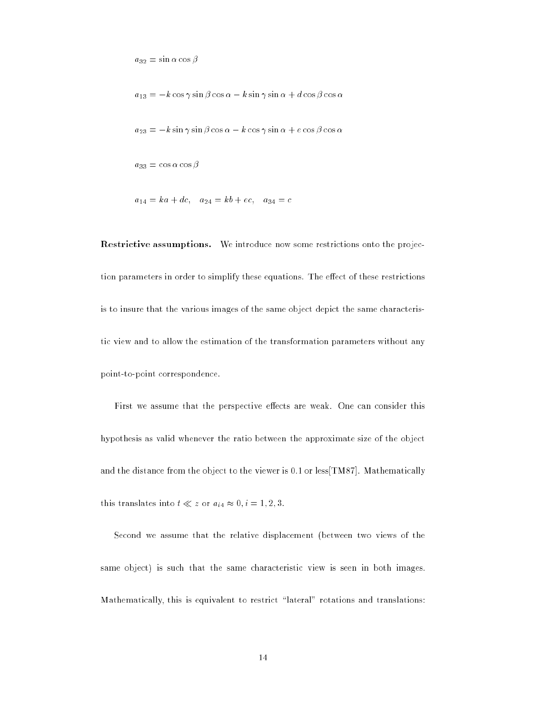$a_{32} = \sin \alpha \cos \beta$ 

 $a_{13} = -k \cos \gamma \sin \beta \cos \alpha - k \sin \gamma \sin \alpha + d \cos \beta \cos \alpha$ 

$$
a_{23} = -k \sin \gamma \sin \beta \cos \alpha - k \cos \gamma \sin \alpha + e \cos \beta \cos \alpha
$$

 $a_{33} = \cos \alpha \cos \beta$ 

$$
a_{14} = ka + dc, \quad a_{24} = kb + ec, \quad a_{34} = c
$$

Restrictive assumptions. We introduce now some restrictions onto the projection parameters in order to simplify these equations. The effect of these restrictions is to insure that the various images of the same object depict the same characteristic view and to allow the estimation of the transformation parameters without any point-to-point correspondence.

First we assume that the perspective effects are weak. One can consider this hypothesis as valid whenever the ratio between the approximate size of the object and the distance from the object to the viewer is 0.1 or less[TM87]. Mathematically this translates into  $t \ll z$  or  $a_{i4} \approx 0, i = 1, 2, 3$ .

Second we assume that the relative displacement (between two views of the same object) is such that the same characteristic view is seen in both images. Mathematically, this is equivalent to restrict "lateral" rotations and translations: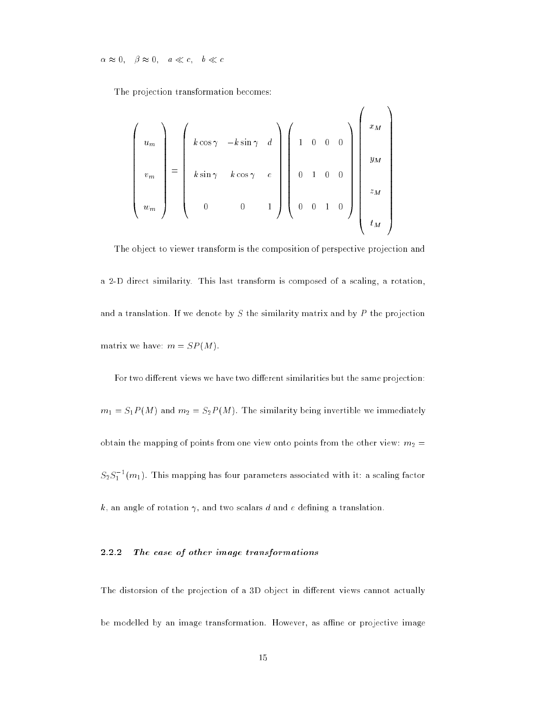0;  0; <sup>a</sup> c; <sup>b</sup> <sup>c</sup>

The projection transformation becomes:

$$
\begin{pmatrix}\nu_m \\ v_m \\ w_m \end{pmatrix} = \begin{pmatrix}\nk \cos \gamma & -k \sin \gamma & d \\ k \sin \gamma & k \cos \gamma & e \\ 0 & 0 & 1\n\end{pmatrix} \begin{pmatrix}\n1 & 0 & 0 & 0 \\ 0 & 1 & 0 & 0 \\ 0 & 0 & 1 & 0 \end{pmatrix} \begin{pmatrix}\nx_M \\ y_M \\ z_M \\ t_M \end{pmatrix}
$$

The object to viewer transform is the composition of perspective projection and a 2-D direct similarity. This last transform is composed of a scaling, a rotation, and a translation. If we denote by  $S$  the similarity matrix and by  $P$  the projection matrix we have:  $m = SP(M)$ .

For two different views we have two different similarities but the same projection:  $m_1 = S_1P(M)$  and  $m_2 = S_2P(M)$ . The similarity being invertible we immediately obtain the mapping of points from one view onto points from the other view:  $m_2 =$  $S_2S_1$  [m<sub>1</sub>]. This mapping has four parameters associated with it: a scaling factor k, an angle of rotation  $\gamma$ , and two scalars d and e defining a translation.

### 2.2.2 The case of other image transformations

The distorsion of the projection of a 3D object in different views cannot actually be modelled by an image transformation. However, as affine or projective image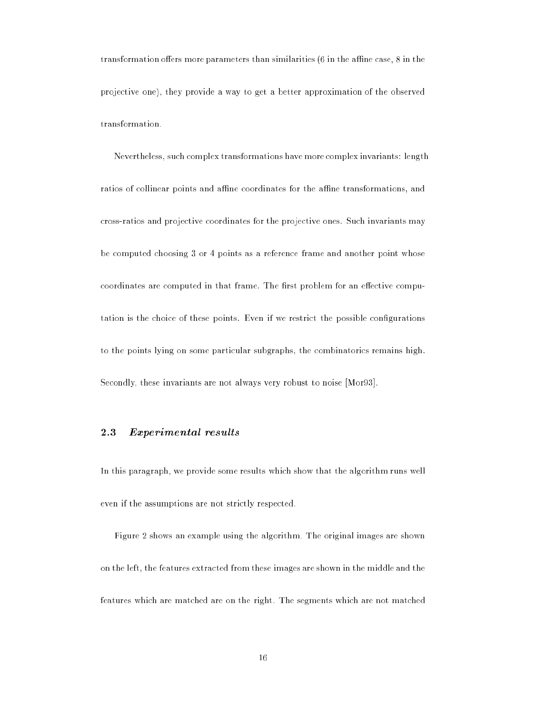transformation offers more parameters than similarities  $(6 \text{ in the affine case}, 8 \text{ in the } 8)$ projective one), they provide a way to get a better approximation of the observed transformation.

Nevertheless, such complex transformations have more complex invariants: length ratios of collinear points and affine coordinates for the affine transformations, and cross-ratios and projective coordinates for the projective ones. Such invariants may be computed choosing 3 or 4 points as a reference frame and another point whose coordinates are computed in that frame. The first problem for an effective computation is the choice of these points. Even if we restrict the possible congurations to the points lying on some particular subgraphs, the combinatorics remains high. Secondly, these invariants are not always very robust to noise [Mor93].

#### 2.3Experimental results

In this paragraph, we provide some results which show that the algorithm runs well even if the assumptions are not strictly respected.

Figure 2 shows an example using the algorithm. The original images are shown on the left, the features extracted from these images are shown in the middle and the features which are matched are on the right. The segments which are not matched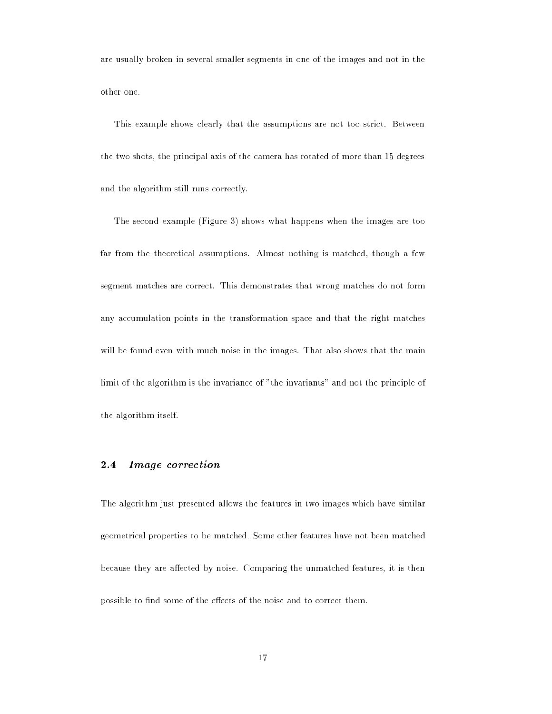are usually broken in several smaller segments in one of the images and not in the other one.

This example shows clearly that the assumptions are not too strict. Between the two shots, the principal axis of the camera has rotated of more than 15 degrees and the algorithm still runs correctly.

The second example (Figure 3) shows what happens when the images are too far from the theoretical assumptions. Almost nothing is matched, though a few segment matches are correct. This demonstrates that wrong matches do not form any accumulation points in the transformation space and that the right matches will be found even with much noise in the images. That also shows that the main limit of the algorithm is the invariance of "the invariants" and not the principle of the algorithm itself.

#### 2.4Image correction

The algorithm just presented allows the features in two images which have similar geometrical properties to be matched. Some other features have not been matched because they are affected by noise. Comparing the unmatched features, it is then possible to find some of the effects of the noise and to correct them.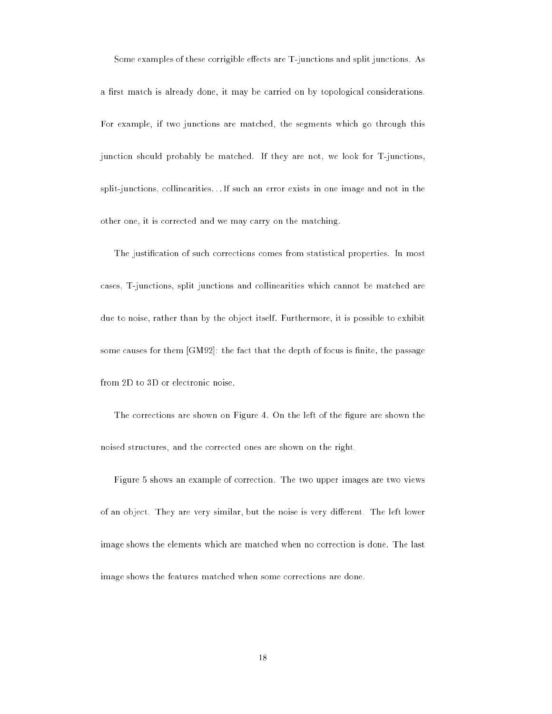Some examples of these corrigible effects are T-junctions and split junctions. As

a first match is already done, it may be carried on by topological considerations. For example, if two junctions are matched, the segments which go through this junction should probably be matched. If they are not, we look for T-junctions, split-junctions, collinearities...If such an error exists in one image and not in the other one, it is corrected and we may carry on the matching.

The justication of such corrections comes from statistical properties. In most cases, T-junctions, split junctions and collinearities which cannot be matched are due to noise, rather than by the object itself. Furthermore, it is possible to exhibit some causes for them  $[GM92]$ : the fact that the depth of focus is finite, the passage from 2D to 3D or electronic noise.

The corrections are shown on Figure 4. On the left of the figure are shown the noised structures, and the corrected ones are shown on the right.

Figure 5 shows an example of correction. The two upper images are two views of an object. They are very similar, but the noise is very different. The left lower image shows the elements which are matched when no correction is done. The last image shows the features matched when some corrections are done.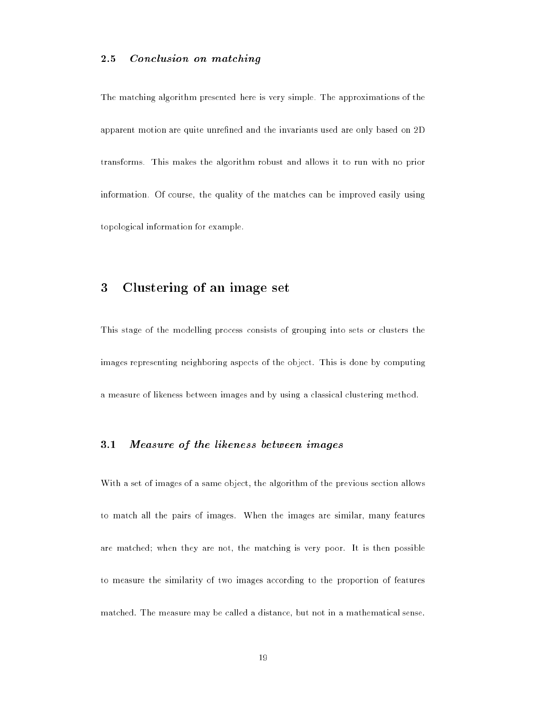#### 2.5Conclusion on matching

The matching algorithm presented here is very simple. The approximations of the apparent motion are quite unrefined and the invariants used are only based on 2D transforms. This makes the algorithm robust and allows it to run with no prior information. Of course, the quality of the matches can be improved easily using topological information for example.

#### 3Clustering of an image set

This stage of the modelling process consists of grouping into sets or clusters the images representing neighboring aspects of the object. This is done by computing a measure of likeness between images and by using a classical clustering method.

#### 3.1Measure of the likeness between images

With a set of images of a same object, the algorithm of the previous section allows to match all the pairs of images. When the images are similar, many features are matched; when they are not, the matching is very poor. It is then possible to measure the similarity of two images according to the proportion of features matched. The measure may be called a distance, but not in a mathematical sense.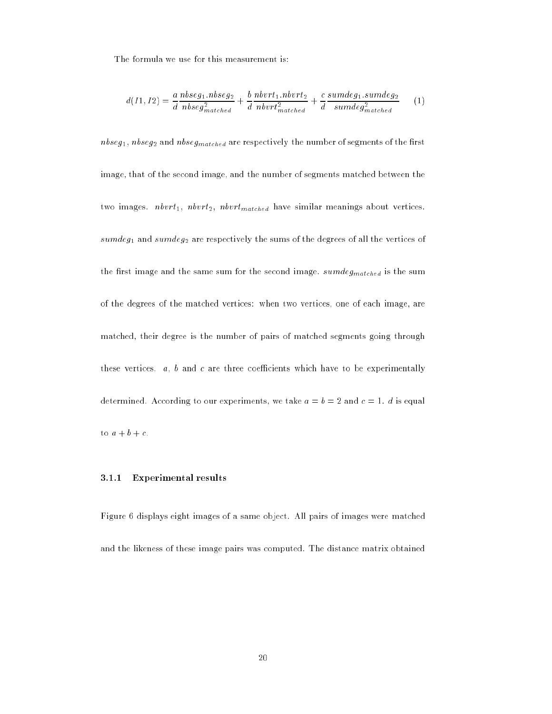The formula we use for this measurement is:

$$
d(11, I2) = \frac{a \text{ } n \text{ } b \text{ } s \text{ } g_1 \text{ } n \text{ } b \text{ } s \text{ } g_2}{n \text{ } b \text{ } s \text{ } g_{\text{matched}}^2} + \frac{b \text{ } n \text{ } b \text{ } v \text{ } r \text{ } t_1 \text{ } n \text{ } b \text{ } v \text{ } t_2}{n \text{ } b \text{ } v \text{ } t_{\text{matched}}^2} + \frac{c \text{ } s \text{ } u \text{ } m \text{ } d \text{ } g_1 \text{ } s \text{ } u \text{ } m \text{ } d \text{ } g_2}{s \text{ } u \text{ } m \text{ } d \text{ } g_{\text{matched}}^2} \tag{1}
$$

 $n$ bseg<sub>1</sub>,  $n$ bseg<sub>2</sub> and  $n$ bseg<sub>matched</sub> are respectively the number of segments of the first image, that of the second image, and the number of segments matched between the two images.  $n \cdot b \cdot vt_1$ ,  $n \cdot b \cdot vt_{n \cdot a \cdot t \cdot c \cdot d}$  have similar meanings about vertices. sumdeg<sub>1</sub> and sumdeg<sub>2</sub> are respectively the sums of the degrees of all the vertices of the first image and the same sum for the second image.  $sumdeg_{matched}$  is the sum of the degrees of the matched vertices: when two vertices, one of each image, are matched, their degree is the number of pairs of matched segments going through these vertices.  $a, b$  and c are three coefficients which have to be experimentally determined. According to our experiments, we take  $a = b = 2$  and  $c = 1$ . d is equal to  $a + b + c$ .

### 3.1.1 Experimental results

Figure 6 displays eight images of a same object. All pairs of images were matched and the likeness of these image pairs was computed. The distance matrix obtained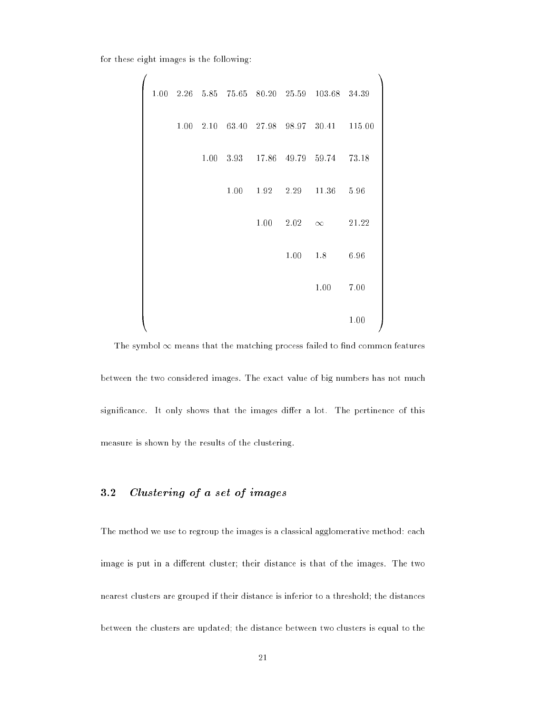for these eight images is the following:

 $\overline{a}$ 

|  |  |      |      |           | 1.00 2.26 5.85 75.65 80.20 25.59 103.68 34.39 |        |
|--|--|------|------|-----------|-----------------------------------------------|--------|
|  |  |      |      |           | 1.00 2.10 63.40 27.98 98.97 30.41             | 115.00 |
|  |  |      |      |           | 1.00 3.93 17.86 49.79 59.74                   | 73.18  |
|  |  | 1.00 |      | 1.92 2.29 | 11.36                                         | 5.96   |
|  |  |      | 1.00 | 2.02      | $\infty$                                      | 21.22  |
|  |  |      |      | 1.00      | 1.8                                           | 6.96   |
|  |  |      |      |           | 1.00                                          | 7.00   |
|  |  |      |      |           |                                               | 1.00   |

 $1.11$ 

The symbol  $\infty$  means that the matching process failed to find common features between the two considered images. The exact value of big numbers has not much significance. It only shows that the images differ a lot. The pertinence of this measure is shown by the results of the clustering.

#### $3.2$ Clustering of <sup>a</sup> set of images

The method we use to regroup the images is a classical agglomerative method: each image is put in a different cluster; their distance is that of the images. The two nearest clusters are grouped if their distance is inferior to a threshold; the distances between the clusters are updated; the distance between two clusters is equal to the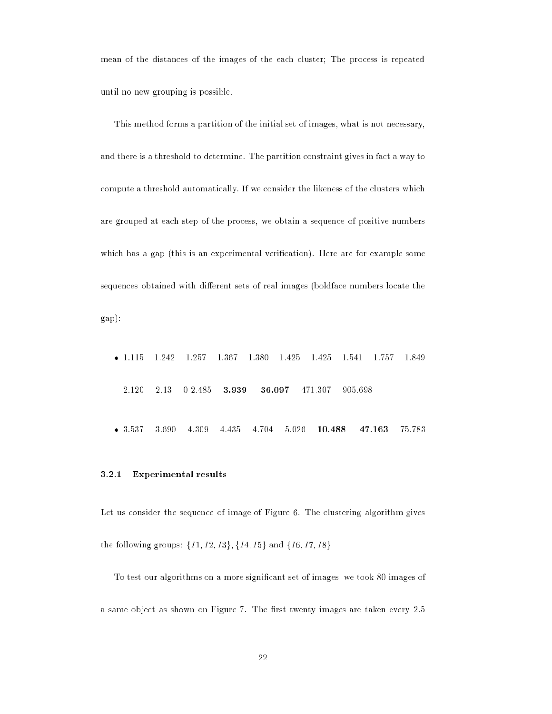mean of the distances of the images of the each cluster; The process is repeated until no new grouping is possible.

This method forms a partition of the initial set of images, what is not necessary, and there is a threshold to determine. The partition constraint gives in fact a way to compute a threshold automatically. If we consider the likeness of the clusters which are grouped at each step of the process, we obtain a sequence of positive numbers which has a gap (this is an experimental verification). Here are for example some sequences obtained with different sets of real images (boldface numbers locate the gap):

 $-1.115$  1.115 1.242 1.257 1.367 1.380 1.425 1.425 1.541 1.757 1.849 2.120 2.13 0 2.485 3.939 36.097 471.307 905.698  $• 3.537$ 3.690 4.309 5.026  $10.488$ 75.783

### 3.2.1 Experimental results

Let us consider the sequence of image of Figure 6. The clustering algorithm gives the following groups:  $\{I1, I2, I3\}, \{I4, I5\}$  and  $\{I6, I7, I8\}$ 

To test our algorithms on a more signicant set of images, we took 80 images of a same object as shown on Figure 7. The first twenty images are taken every 2.5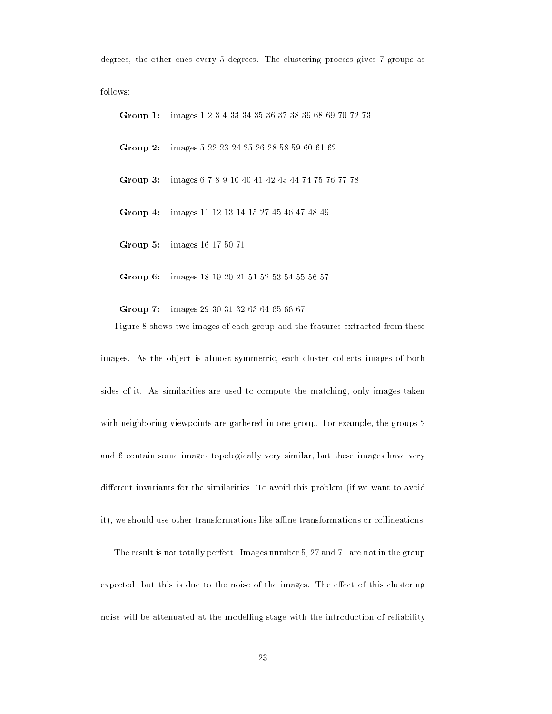degrees, the other ones every 5 degrees. The clustering process gives 7 groups as

Group 1: images 1 2 3 4 33 34 35 36 37 38 39 68 69 70 72 73 Group 2: images 5 22 23 24 25 26 28 58 59 60 61 62 Group 3: images 6 7 8 9 10 40 41 42 43 44 74 75 76 77 78 Group 4: images 11 12 13 14 15 27 45 46 47 48 49 Group 5: images 16 17 50 71

Group 6: images 18 19 20 21 51 52 53 54 55 56 57

Group 7: images 29 30 31 32 63 64 65 66 67 Figure 8 shows two images of each group and the features extracted from these

images. As the object is almost symmetric, each cluster collects images of both sides of it. As similarities are used to compute the matching, only images taken with neighboring viewpoints are gathered in one group. For example, the groups 2 and 6 contain some images topologically very similar, but these images have very different invariants for the similarities. To avoid this problem (if we want to avoid it), we should use other transformations like affine transformations or collineations.

The result is not totally perfect. Images number 5, 27 and 71 are not in the group expected, but this is due to the noise of the images. The effect of this clustering noise will be attenuated at the modelling stage with the introduction of reliability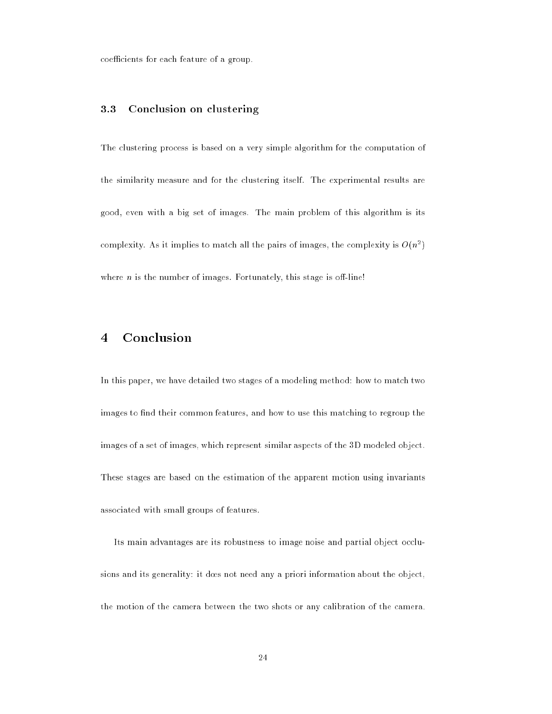coefficients for each feature of a group.

#### 3.3Conclusion on clustering

The clustering process is based on a very simple algorithm for the computation of the similarity measure and for the clustering itself. The experimental results are good, even with a big set of images. The main problem of this algorithm is its complexity. As it implies to match all the pairs of images, the complexity is  $O(n^2)$ where  $n$  is the number of images. Fortunately, this stage is off-line!

#### 4Conclusion

In this paper, we have detailed two stages of a modeling method: how to match two images to find their common features, and how to use this matching to regroup the images of a set of images, which represent similar aspects of the 3D modeled object. These stages are based on the estimation of the apparent motion using invariants associated with small groups of features.

Its main advantages are its robustness to image noise and partial object occlusions and its generality: it does not need any a priori information about the object, the motion of the camera between the two shots or any calibration of the camera.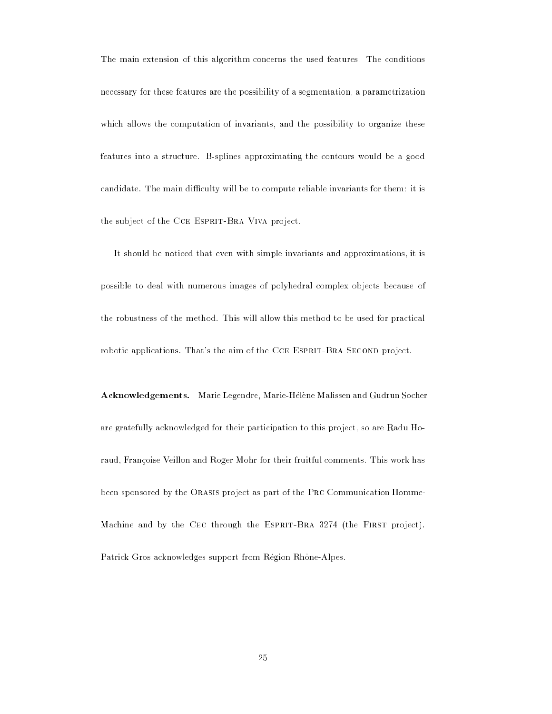The main extension of this algorithm concerns the used features. The conditions necessary for these features are the possibility of a segmentation, a parametrization which allows the computation of invariants, and the possibility to organize these features into a structure. B-splines approximating the contours would be a good candidate. The main difficulty will be to compute reliable invariants for them: it is the subject of the CCE ESPRIT-BRA VIVA project.

It should be noticed that even with simple invariants and approximations, it is possible to deal with numerous images of polyhedral complex objects because of the robustness of the method. This will allow this method to be used for practical robotic applications. That's the aim of the CCE ESPRIT-BRA SECOND project.

Acknowledgements. Marie Legendre, Marie-Hélène Malissen and Gudrun Socher are gratefully acknowledged for their participation to this project, so are Radu Horaud, Francoise Veillon and Roger Mohr for their fruitful comments. This work has been sponsored by the Orasis project as part of the Prc Communication Homme-Machine and by the CEC through the ESPRIT-BRA 3274 (the FIRST project). Patrick Gros acknowledges support from Région Rhône-Alpes.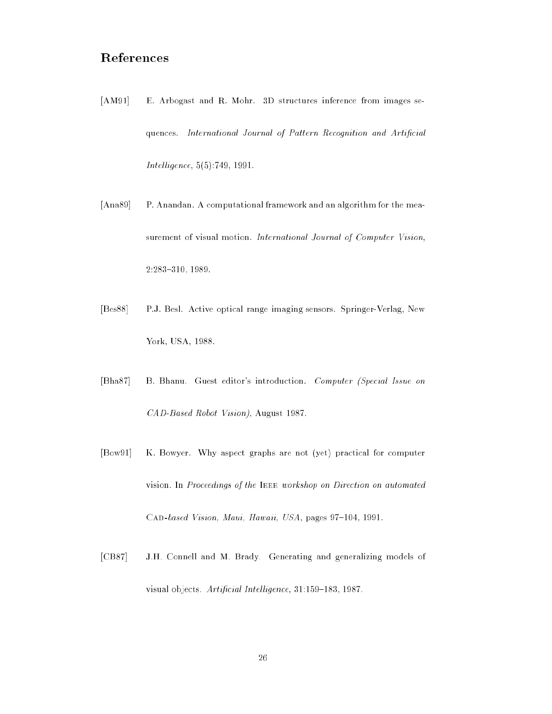- [AM91] E. Arbogast and R. Mohr. 3D structures inference from images sequences. International Journal of Pattern Recognition and Artificial  $Intelligence, 5(5):749, 1991.$
- [Ana89] P. Anandan. A computational framework and an algorithm for the measurement of visual motion. International Journal of Computer Vision, 2:283-310, 1989.
- [Bes88] P.J. Besl. Active optical range imaging sensors. Springer-Verlag, New York, USA, 1988.
- [Bha87] B. Bhanu. Guest editor's introduction. Computer (Special Issue on CAD-Based Robot Vision), August 1987.
- [Bow91] K. Bowyer. Why aspect graphs are not (yet) practical for computer vision. In Proceedings of the IEEE workshop on Direction on automated CAD-based Vision, Maui, Hawaii, USA, pages 97-104, 1991.
- [CB87] J.H. Connell and M. Brady. Generating and generalizing models of visual objects. Artificial Intelligence, 31:159-183, 1987.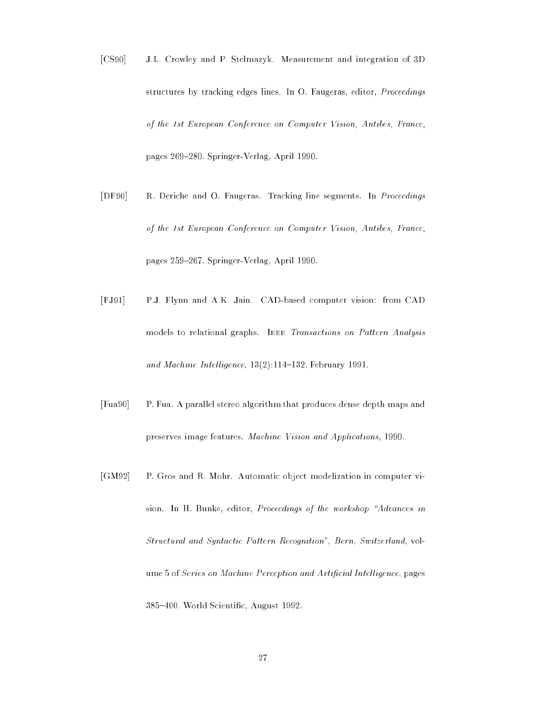- [CS90] J.L. Crowley and P. Stelmazyk. Measurement and integration of 3D structures by tracking edges lines. In O. Faugeras, editor, Proceedings of the 1st European Conference on Computer Vision, Antibes, France, pages 269-280. Springer-Verlag, April 1990.
- [DF90] R. Deriche and O. Faugeras. Tracking line segments. In Proceedings of the 1st European Conference on Computer Vision, Antibes, France, pages 259-267. Springer-Verlag, April 1990.
- [FJ91] P.J. Flynn and A.K. Jain. CAD-based computer vision: from CAD models to relational graphs. IEEE Transactions on Pattern Analysis and Machine Intelligence,  $13(2):114-132$ , February 1991.
- [Fua90] P. Fua. A parallel stereo algorithm that produces dense depth maps and preserves image features. Machine Vision and Applications, 1990.
- [GM92] P. Gros and R. Mohr. Automatic object modelization in computer vision. In H. Bunke, editor, Proceedings of the workshop "Advances in Structural and Syntactic Pattern Recognition", Bern, Switzerland, volume 5 of Series on Machine Perception and Artificial Intelligence, pages 385-400. World Scientific, August 1992.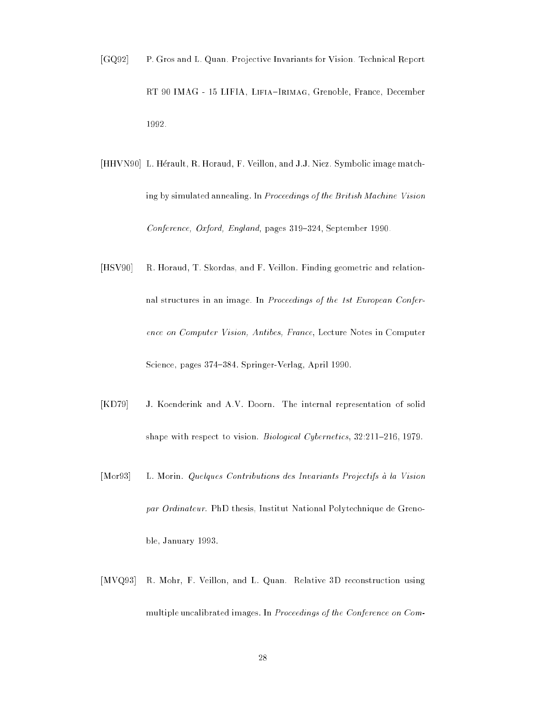- [GQ92] P. Gros and L. Quan. Projective Invariants for Vision. Technical Report RT 90 IMAG - 15 LIFIA, LIFIA-IRIMAG, Grenoble, France, December 1992.
- [HHVN90] L. Hérault, R. Horaud, F. Veillon, and J.J. Niez. Symbolic image matching by simulated annealing. In Proceedings of the British Machine Vision Conference, Oxford, England, pages 319-324, September 1990.
- [HSV90] R. Horaud, T. Skordas, and F. Veillon. Finding geometric and relationnal structures in an image. In Proceedings of the 1st European Conference on Computer Vision, Antibes, France, Lecture Notes in Computer Science, pages 374-384. Springer-Verlag, April 1990.
- [KD79] J. Koenderink and A.V. Doorn. The internal representation of solid shape with respect to vision. Biological Cybernetics, 32:211-216, 1979.
- [Mor93] L. Morin. Quelques Contributions des Invariants Projectifs a la Vision par Ordinateur. PhD thesis, Institut National Polytechnique de Grenoble, January 1993.
- [MVQ93] R. Mohr, F. Veillon, and L. Quan. Relative 3D reconstruction using multiple uncalibrated images. In Proceedings of the Conference on Com-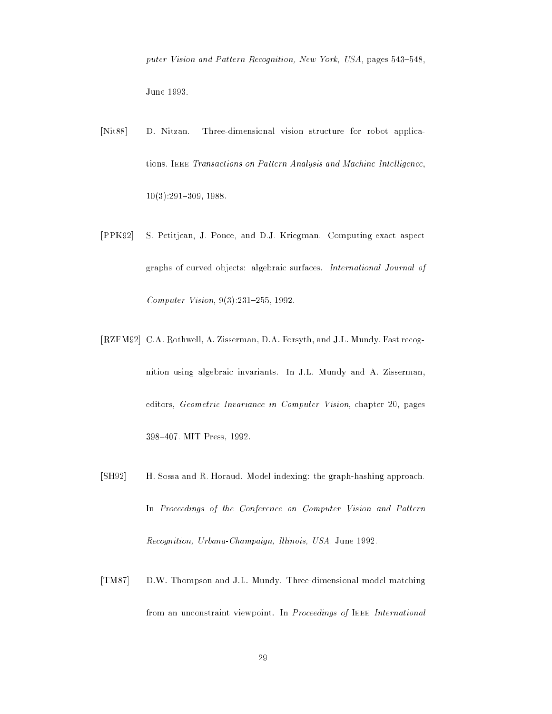puter Vision and Pattern Recognition, New York, USA, pages 543-548, June 1993.

- [Nit88] D. Nitzan. Three-dimensional vision structure for robot applica-D. Nitzan. tions. IEEE Transactions on Pattern Analysis and Machine Intelligence,  $10(3):291{-}309, 1988.$
- [PPK92] S. Petitjean, J. Ponce, and D.J. Kriegman. Computing exact aspect graphs of curved objects: algebraic surfaces. International Journal of Computer Vision,  $9(3):231-255$ , 1992.
- [RZFM92] C.A. Rothwell, A. Zisserman, D.A. Forsyth, and J.L. Mundy. Fast recognition using algebraic invariants. In J.L. Mundy and A. Zisserman, editors, Geometric Invariance in Computer Vision, chapter 20, pages 398{407. MIT Press, 1992.
- [SH92] H. Sossa and R. Horaud. Model indexing: the graph-hashing approach. In Proceedings of the Conference on Computer Vision and Pattern Recognition, Urbana-Champaign, Illinois, USA, June 1992.
- [TM87] D.W. Thompson and J.L. Mundy. Three-dimensional model matching from an unconstraint viewpoint. In Proceedings of IEEE International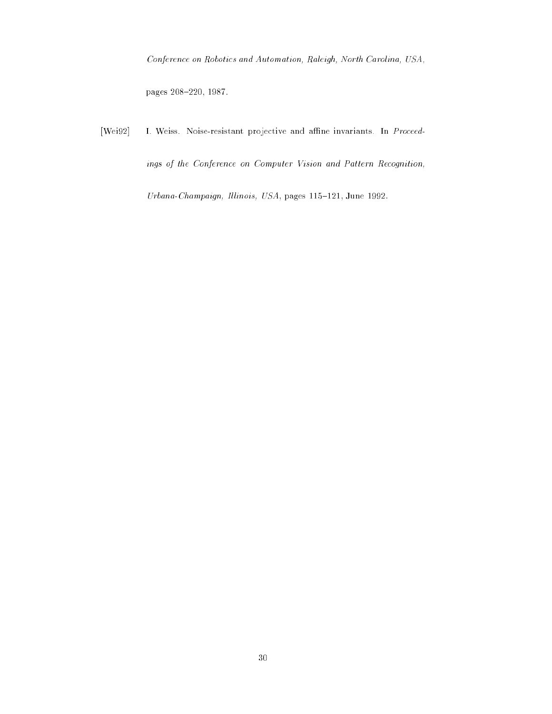Conference on Robotics and Automation, Raleigh, North Carolina, USA,

pages 208-220, 1987.

[Wei92] I. Weiss. Noise-resistant projective and affine invariants. In Proceedings of the Conference on Computer Vision and Pattern Recognition,

Urbana-Champaign, Illinois, USA, pages 115-121, June 1992.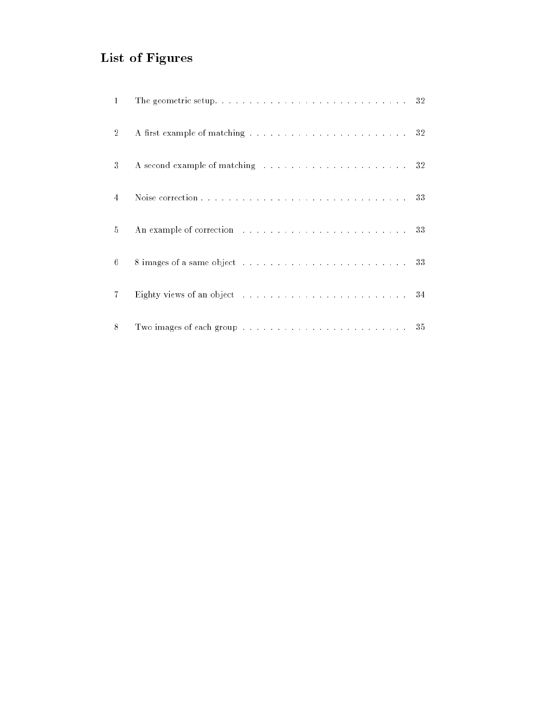## List of Figures

| $\mathbf{1}$   |                                                                                                                                                                                                                                |  |
|----------------|--------------------------------------------------------------------------------------------------------------------------------------------------------------------------------------------------------------------------------|--|
| $\overline{2}$ |                                                                                                                                                                                                                                |  |
| 3              | A second example of matching resources in the second example of matching resources in the second second second second second second second second second second second second second second second second second second second |  |
| 4              |                                                                                                                                                                                                                                |  |
| 5              | An example of correction resources in the contract of the state of 33                                                                                                                                                          |  |
| 6              |                                                                                                                                                                                                                                |  |
| $\overline{7}$ |                                                                                                                                                                                                                                |  |
| 8              | Two images of each group $\ldots \ldots \ldots \ldots \ldots \ldots \ldots \ldots \ldots 35$                                                                                                                                   |  |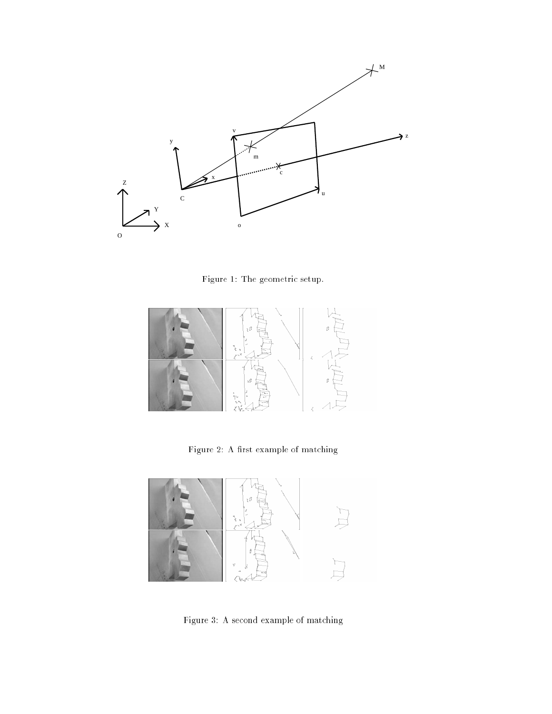

Figure 1: The geometric setup.



Figure 2: A first example of matching



Figure 3: A second example of matching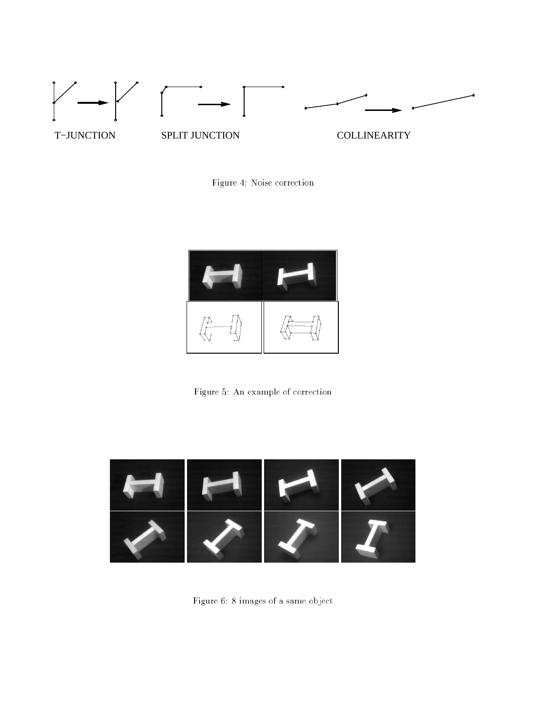

Figure 4: Noise correction



Figure 5: An example of correction



Figure 6: 8 images of a same object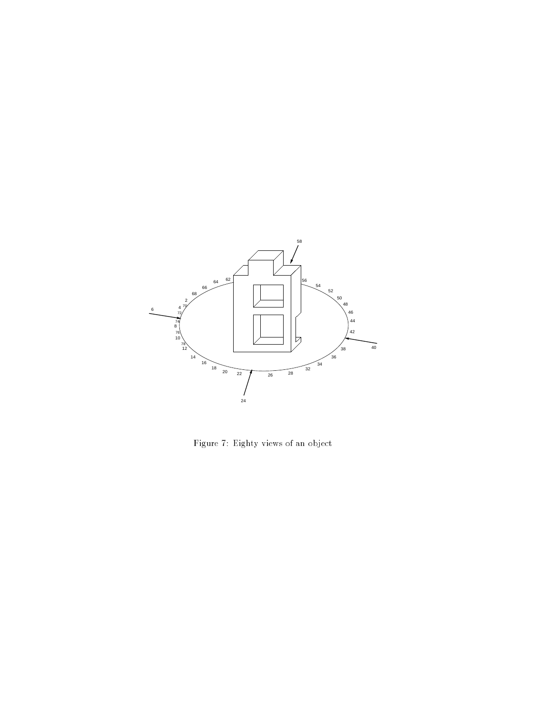

Figure 7: Eighty views of an object